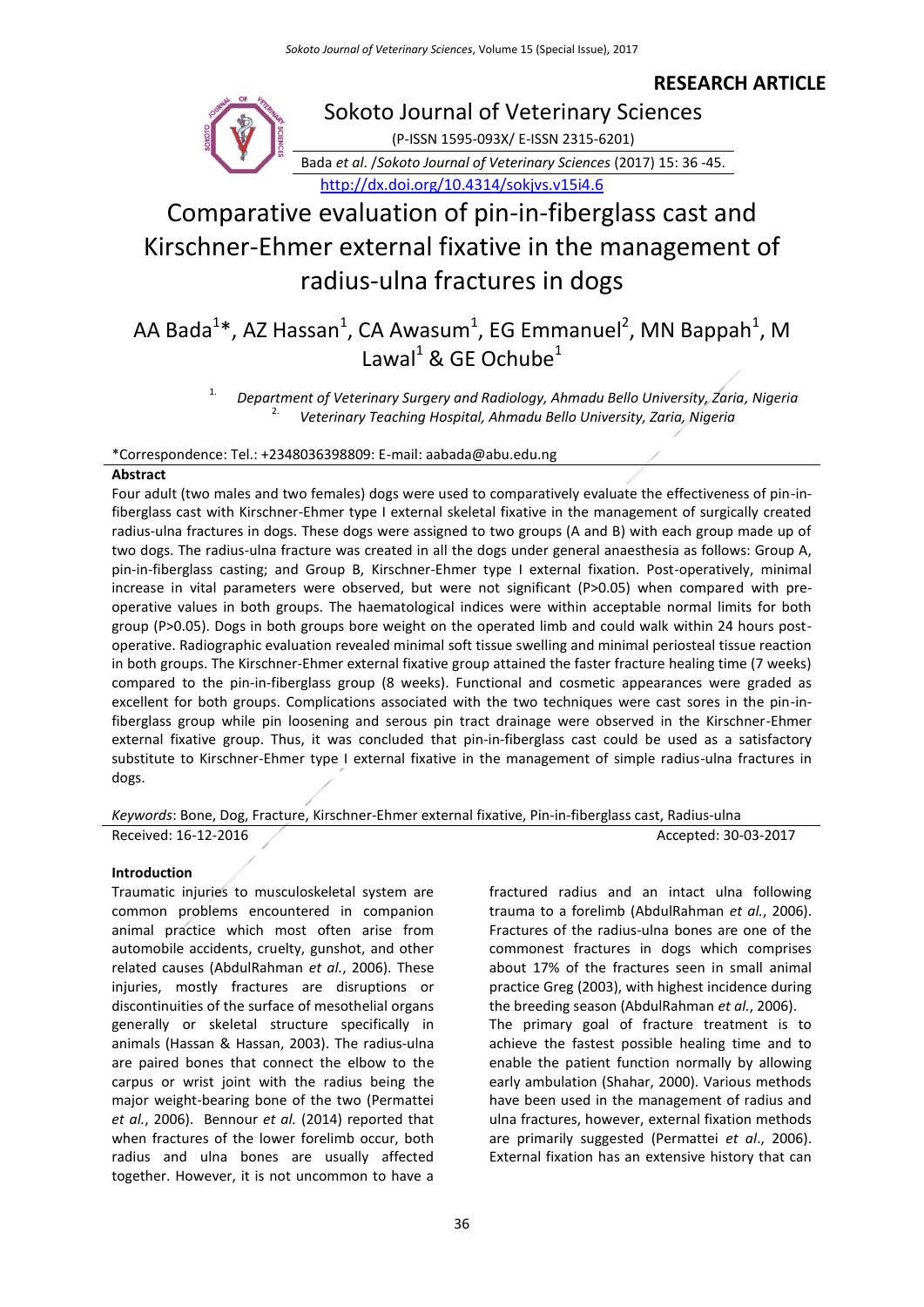### **RESEARCH ARTICLE**



# Comparative evaluation of pin-in-fiberglass cast and Kirschner-Ehmer external fixative in the management of radius-ulna fractures in dogs

## AA Bada<sup>1</sup>\*, AZ Hassan<sup>1</sup>, CA Awasum<sup>1</sup>, EG Emmanuel<sup>2</sup>, MN Bappah<sup>1</sup>, M Lawal<sup>1</sup> & GE Ochube<sup>1</sup>

1. *Department of Veterinary Surgery and Radiology, Ahmadu Bello University, Zaria, Nigeria* 2. *Veterinary Teaching Hospital, Ahmadu Bello University, Zaria, Nigeria*

#### \*Correspondence: Tel.: +2348036398809: E-mail: aabada@abu.edu.ng

#### **Abstract**

Four adult (two males and two females) dogs were used to comparatively evaluate the effectiveness of pin-infiberglass cast with Kirschner-Ehmer type I external skeletal fixative in the management of surgically created radius-ulna fractures in dogs. These dogs were assigned to two groups (A and B) with each group made up of two dogs. The radius-ulna fracture was created in all the dogs under general anaesthesia as follows: Group A, pin-in-fiberglass casting; and Group B, Kirschner-Ehmer type I external fixation. Post-operatively, minimal increase in vital parameters were observed, but were not significant (P>0.05) when compared with preoperative values in both groups. The haematological indices were within acceptable normal limits for both group (P>0.05). Dogs in both groups bore weight on the operated limb and could walk within 24 hours postoperative. Radiographic evaluation revealed minimal soft tissue swelling and minimal periosteal tissue reaction in both groups. The Kirschner-Ehmer external fixative group attained the faster fracture healing time (7 weeks) compared to the pin-in-fiberglass group (8 weeks). Functional and cosmetic appearances were graded as excellent for both groups. Complications associated with the two techniques were cast sores in the pin-infiberglass group while pin loosening and serous pin tract drainage were observed in the Kirschner-Ehmer external fixative group. Thus, it was concluded that pin-in-fiberglass cast could be used as a satisfactory substitute to Kirschner-Ehmer type I external fixative in the management of simple radius-ulna fractures in dogs.

*Keywords*: Bone, Dog, Fracture, Kirschner-Ehmer external fixative, Pin-in-fiberglass cast, Radius-ulna Received: 16-12-2016 **Accepted: 30-03-2017** 

#### **Introduction**

Traumatic injuries to musculoskeletal system are common problems encountered in companion animal practice which most often arise from automobile accidents, cruelty, gunshot, and other related causes (AbdulRahman *et al.*, 2006). These injuries, mostly fractures are disruptions or discontinuities of the surface of mesothelial organs generally or skeletal structure specifically in animals (Hassan & Hassan, 2003). The radius-ulna are paired bones that connect the elbow to the carpus or wrist joint with the radius being the major weight-bearing bone of the two (Permattei *et al.*, 2006). Bennour *et al.* (2014) reported that when fractures of the lower forelimb occur, both radius and ulna bones are usually affected together. However, it is not uncommon to have a

fractured radius and an intact ulna following trauma to a forelimb (AbdulRahman *et al.*, 2006). Fractures of the radius-ulna bones are one of the commonest fractures in dogs which comprises about 17% of the fractures seen in small animal practice Greg (2003), with highest incidence during the breeding season (AbdulRahman *et al.*, 2006). The primary goal of fracture treatment is to achieve the fastest possible healing time and to enable the patient function normally by allowing early ambulation (Shahar, 2000). Various methods have been used in the management of radius and ulna fractures, however, external fixation methods are primarily suggested (Permattei *et al*., 2006). External fixation has an extensive history that can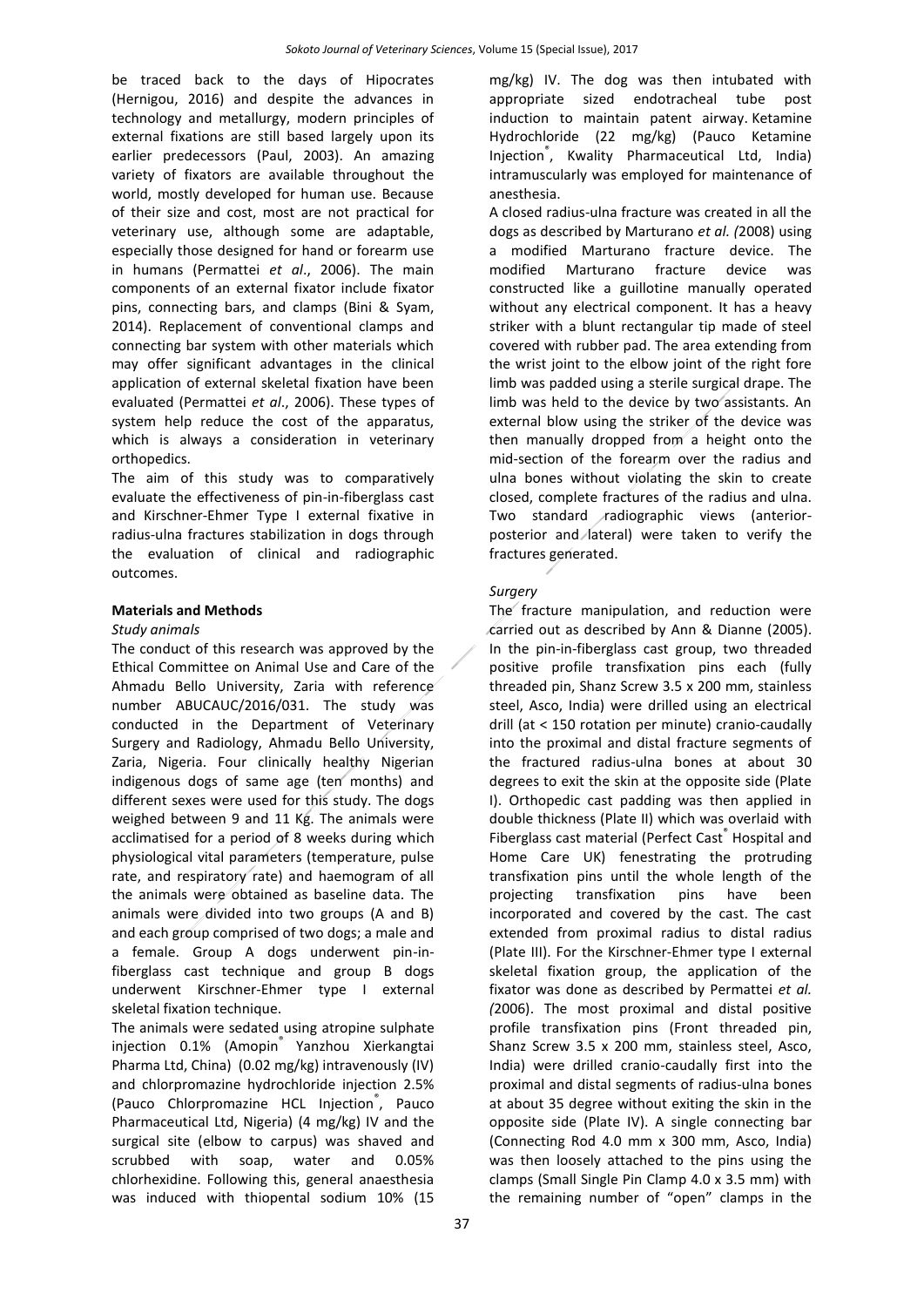be traced back to the days of Hipocrates (Hernigou, 2016) and despite the advances in technology and metallurgy, modern principles of external fixations are still based largely upon its earlier predecessors (Paul, 2003). An amazing variety of fixators are available throughout the world, mostly developed for human use. Because of their size and cost, most are not practical for veterinary use, although some are adaptable, especially those designed for hand or forearm use in humans (Permattei *et al*., 2006). The main components of an external fixator include fixator pins, connecting bars, and clamps (Bini & Syam, 2014). Replacement of conventional clamps and connecting bar system with other materials which may offer significant advantages in the clinical application of external skeletal fixation have been evaluated (Permattei *et al*., 2006). These types of system help reduce the cost of the apparatus, which is always a consideration in veterinary orthopedics.

The aim of this study was to comparatively evaluate the effectiveness of pin-in-fiberglass cast and Kirschner-Ehmer Type I external fixative in radius-ulna fractures stabilization in dogs through the evaluation of clinical and radiographic outcomes.

#### **Materials and Methods**

#### *Study animals*

The conduct of this research was approved by the Ethical Committee on Animal Use and Care of the Ahmadu Bello University, Zaria with reference number ABUCAUC/2016/031. The study was conducted in the Department of Veterinary Surgery and Radiology, Ahmadu Bello University, Zaria, Nigeria. Four clinically healthy Nigerian indigenous dogs of same age (ten months) and different sexes were used for this study. The dogs weighed between 9 and 11 Kg. The animals were acclimatised for a period of 8 weeks during which physiological vital parameters (temperature, pulse rate, and respiratory rate) and haemogram of all the animals were obtained as baseline data. The animals were divided into two groups (A and B) and each group comprised of two dogs; a male and a female. Group A dogs underwent pin-infiberglass cast technique and group B dogs underwent Kirschner-Ehmer type I external skeletal fixation technique.

The animals were sedated using atropine sulphate injection 0.1% (Amopin® Yanzhou Xierkangtai Pharma Ltd, China) (0.02 mg/kg) intravenously (IV) and chlorpromazine hydrochloride injection 2.5% (Pauco Chlorpromazine HCL Injection<sup>®</sup>, Pauco Pharmaceutical Ltd, Nigeria) (4 mg/kg) IV and the surgical site (elbow to carpus) was shaved and scrubbed with soap, water and 0.05% chlorhexidine. Following this, general anaesthesia was induced with thiopental sodium 10% (15

mg/kg) IV. The dog was then intubated with appropriate sized endotracheal tube post induction to maintain patent airway. Ketamine Hydrochloride (22 mg/kg) (Pauco Ketamine Injection® , Kwality Pharmaceutical Ltd, India) intramuscularly was employed for maintenance of anesthesia.

A closed radius-ulna fracture was created in all the dogs as described by Marturano *et al. (*2008) using a modified Marturano fracture device. The modified Marturano fracture device was constructed like a guillotine manually operated without any electrical component. It has a heavy striker with a blunt rectangular tip made of steel covered with rubber pad. The area extending from the wrist joint to the elbow joint of the right fore limb was padded using a sterile surgical drape. The limb was held to the device by two assistants. An external blow using the striker of the device was then manually dropped from a height onto the mid-section of the forearm over the radius and ulna bones without violating the skin to create closed, complete fractures of the radius and ulna. Two standard radiographic views (anteriorposterior and lateral) were taken to verify the fractures generated.

#### *Surgery*

The fracture manipulation, and reduction were carried out as described by Ann & Dianne (2005). In the pin-in-fiberglass cast group, two threaded positive profile transfixation pins each (fully threaded pin, Shanz Screw 3.5 x 200 mm, stainless steel, Asco, India) were drilled using an electrical drill (at < 150 rotation per minute) cranio-caudally into the proximal and distal fracture segments of the fractured radius-ulna bones at about 30 degrees to exit the skin at the opposite side (Plate I). Orthopedic cast padding was then applied in double thickness (Plate II) which was overlaid with Fiberglass cast material (Perfect Cast® Hospital and Home Care UK) fenestrating the protruding transfixation pins until the whole length of the projecting transfixation pins have been incorporated and covered by the cast. The cast extended from proximal radius to distal radius (Plate III). For the Kirschner-Ehmer type I external skeletal fixation group, the application of the fixator was done as described by Permattei *et al. (*2006). The most proximal and distal positive profile transfixation pins (Front threaded pin, Shanz Screw 3.5 x 200 mm, stainless steel, Asco, India) were drilled cranio-caudally first into the proximal and distal segments of radius-ulna bones at about 35 degree without exiting the skin in the opposite side (Plate IV). A single connecting bar (Connecting Rod 4.0 mm x 300 mm, Asco, India) was then loosely attached to the pins using the clamps (Small Single Pin Clamp 4.0 x 3.5 mm) with the remaining number of "open" clamps in the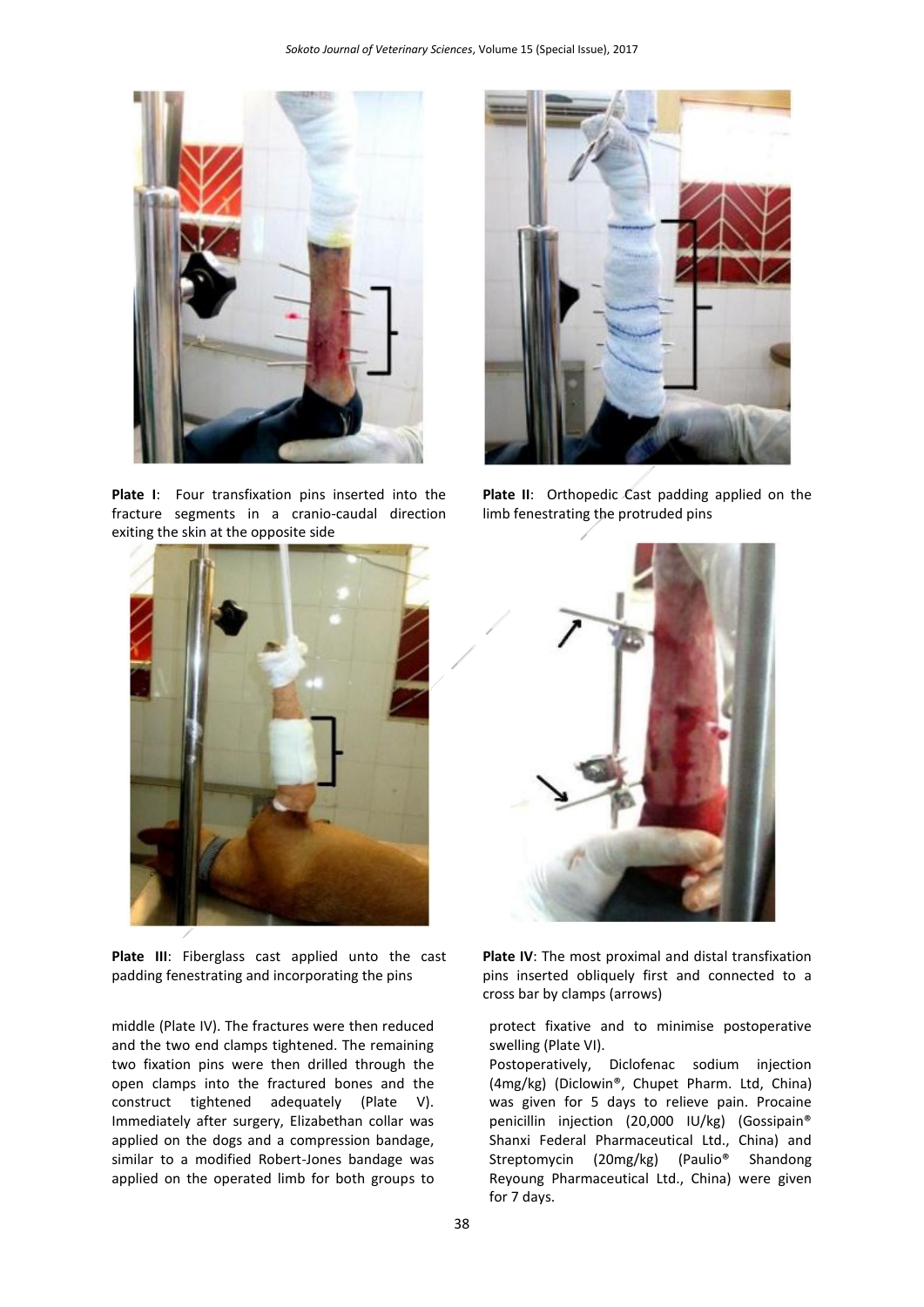

**Plate I**: Four transfixation pins inserted into the fracture segments in a cranio-caudal direction exiting the skin at the opposite side



**Plate III**: Fiberglass cast applied unto the cast padding fenestrating and incorporating the pins

middle (Plate IV). The fractures were then reduced and the two end clamps tightened. The remaining two fixation pins were then drilled through the open clamps into the fractured bones and the construct tightened adequately (Plate V). Immediately after surgery, Elizabethan collar was applied on the dogs and a compression bandage, similar to a modified Robert-Jones bandage was applied on the operated limb for both groups to



Plate II: Orthopedic Cast padding applied on the limb fenestrating the protruded pins



**Plate IV**: The most proximal and distal transfixation pins inserted obliquely first and connected to a cross bar by clamps (arrows)

protect fixative and to minimise postoperative swelling (Plate VI).

Postoperatively, Diclofenac sodium injection (4mg/kg) (Diclowin®, Chupet Pharm. Ltd, China) was given for 5 days to relieve pain. Procaine penicillin injection (20,000 IU/kg) (Gossipain® Shanxi Federal Pharmaceutical Ltd., China) and Streptomycin (20mg/kg) (Paulio® Shandong Reyoung Pharmaceutical Ltd., China) were given for 7 days.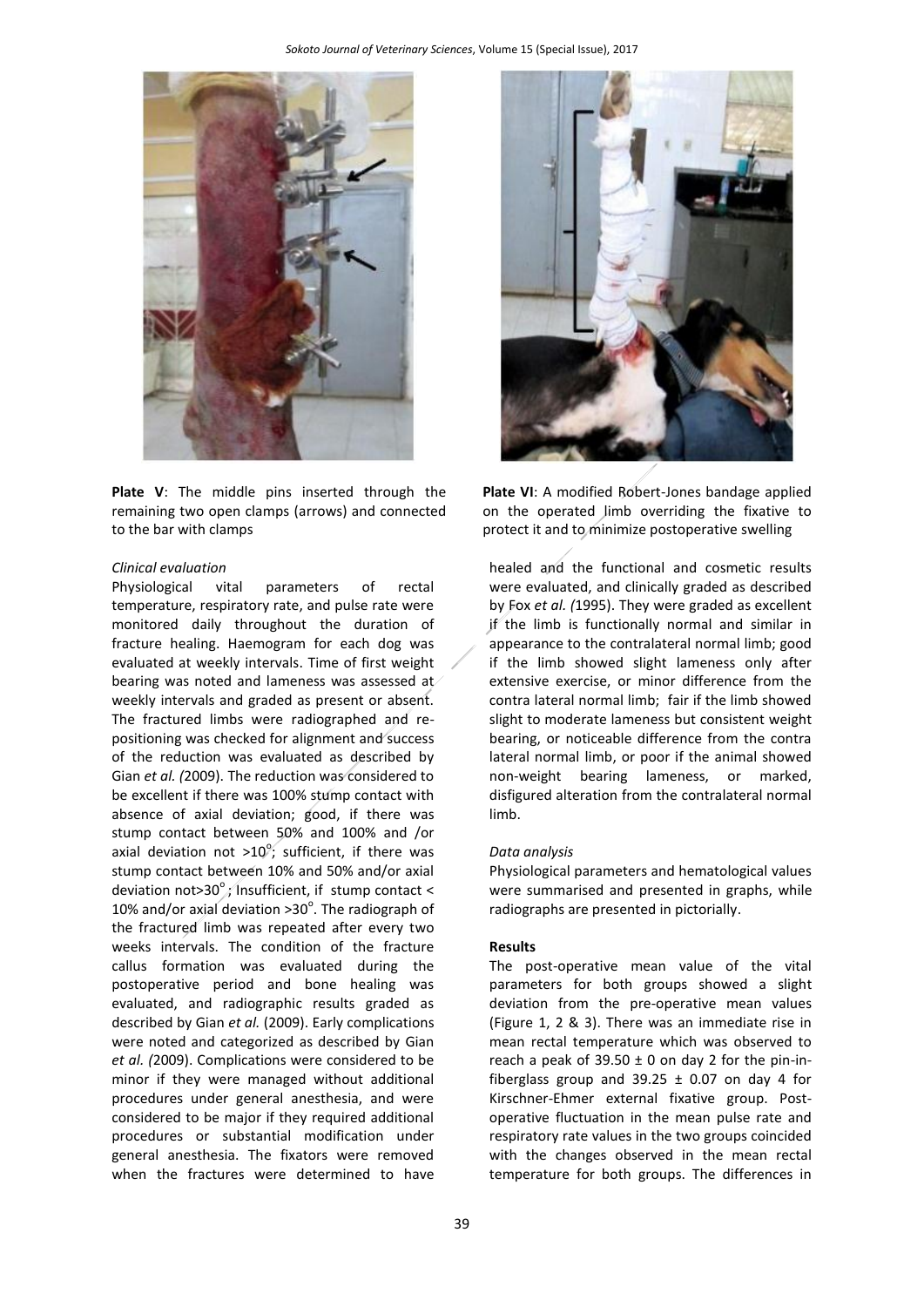

**Plate V**: The middle pins inserted through the remaining two open clamps (arrows) and connected to the bar with clamps

#### *Clinical evaluation*

Physiological vital parameters of rectal temperature, respiratory rate, and pulse rate were monitored daily throughout the duration of fracture healing. Haemogram for each dog was evaluated at weekly intervals. Time of first weight bearing was noted and lameness was assessed at weekly intervals and graded as present or absent. The fractured limbs were radiographed and repositioning was checked for alignment and success of the reduction was evaluated as described by Gian *et al. (*2009). The reduction was considered to be excellent if there was 100% stump contact with absence of axial deviation; good, if there was stump contact between 50% and 100% and /or axial deviation not >10°; sufficient, if there was stump contact between 10% and 50% and/or axial deviation not>30 $^{\circ}$ ; Insufficient, if stump contact < 10% and/or axial deviation  $>30^{\circ}$ . The radiograph of the fractured limb was repeated after every two weeks intervals. The condition of the fracture callus formation was evaluated during the postoperative period and bone healing was evaluated, and radiographic results graded as described by Gian *et al.* (2009). Early complications were noted and categorized as described by Gian *et al. (*2009). Complications were considered to be minor if they were managed without additional procedures under general anesthesia, and were considered to be major if they required additional procedures or substantial modification under general anesthesia. The fixators were removed when the fractures were determined to have



**Plate VI**: A modified Robert-Jones bandage applied on the operated limb overriding the fixative to protect it and to minimize postoperative swelling

healed and the functional and cosmetic results were evaluated, and clinically graded as described by Fox *et al. (*1995). They were graded as excellent if the limb is functionally normal and similar in appearance to the contralateral normal limb; good if the limb showed slight lameness only after extensive exercise, or minor difference from the contra lateral normal limb; fair if the limb showed slight to moderate lameness but consistent weight bearing, or noticeable difference from the contra lateral normal limb, or poor if the animal showed non-weight bearing lameness, or marked, disfigured alteration from the contralateral normal limb.

#### *Data analysis*

Physiological parameters and hematological values were summarised and presented in graphs, while radiographs are presented in pictorially.

#### **Results**

The post-operative mean value of the vital parameters for both groups showed a slight deviation from the pre-operative mean values (Figure 1, 2 & 3). There was an immediate rise in mean rectal temperature which was observed to reach a peak of  $39.50 \pm 0$  on day 2 for the pin-infiberglass group and 39.25  $\pm$  0.07 on day 4 for Kirschner-Ehmer external fixative group. Postoperative fluctuation in the mean pulse rate and respiratory rate values in the two groups coincided with the changes observed in the mean rectal temperature for both groups. The differences in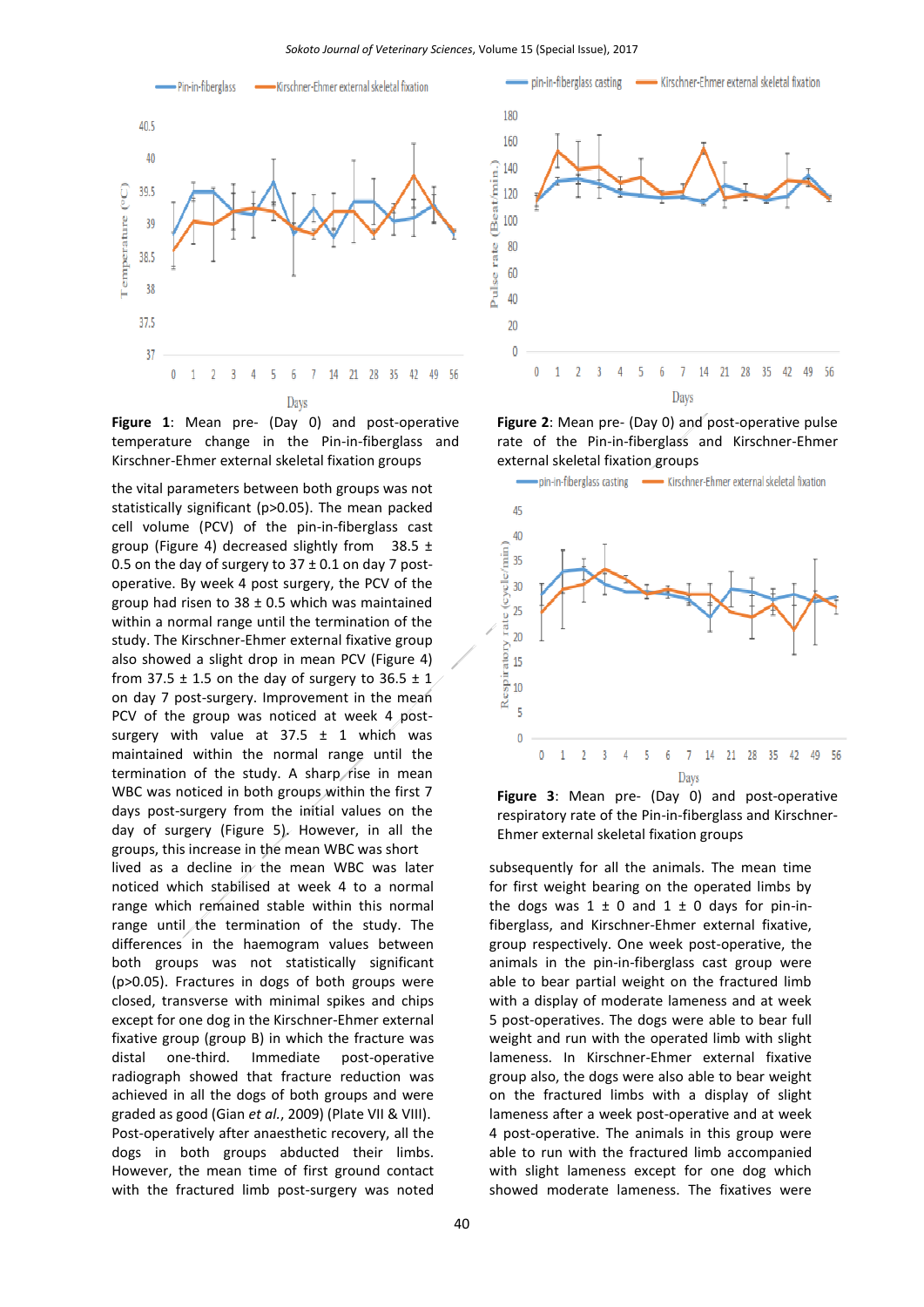

**Figure 1**: Mean pre- (Day 0) and post-operative temperature change in the Pin-in-fiberglass and Kirschner-Ehmer external skeletal fixation groups

the vital parameters between both groups was not statistically significant (p>0.05). The mean packed cell volume (PCV) of the pin-in-fiberglass cast group (Figure 4) decreased slightly from  $38.5 \pm$ 0.5 on the day of surgery to  $37 \pm 0.1$  on day 7 postoperative. By week 4 post surgery, the PCV of the group had risen to  $38 \pm 0.5$  which was maintained within a normal range until the termination of the study. The Kirschner-Ehmer external fixative group also showed a slight drop in mean PCV (Figure 4) from 37.5  $\pm$  1.5 on the day of surgery to 36.5  $\pm$  1 on day 7 post-surgery. Improvement in the mean PCV of the group was noticed at week 4 postsurgery with value at  $37.5 \pm 1$  which was maintained within the normal range until the termination of the study. A sharp rise in mean WBC was noticed in both groups within the first 7 days post-surgery from the initial values on the day of surgery (Figure 5). However, in all the groups, this increase in the mean WBC was short

lived as a decline in the mean WBC was later noticed which stabilised at week 4 to a normal range which remained stable within this normal range until the termination of the study. The differences in the haemogram values between both groups was not statistically significant (p>0.05). Fractures in dogs of both groups were closed, transverse with minimal spikes and chips except for one dog in the Kirschner-Ehmer external fixative group (group B) in which the fracture was distal one-third. Immediate post-operative radiograph showed that fracture reduction was achieved in all the dogs of both groups and were graded as good (Gian *et al.*, 2009) (Plate VII & VIII). Post-operatively after anaesthetic recovery, all the dogs in both groups abducted their limbs. However, the mean time of first ground contact with the fractured limb post-surgery was noted



**Figure 2**: Mean pre- (Day 0) and post-operative pulse rate of the Pin-in-fiberglass and Kirschner-Ehmer external skeletal fixation groups





subsequently for all the animals. The mean time for first weight bearing on the operated limbs by the dogs was  $1 \pm 0$  and  $1 \pm 0$  days for pin-infiberglass, and Kirschner-Ehmer external fixative, group respectively. One week post-operative, the animals in the pin-in-fiberglass cast group were able to bear partial weight on the fractured limb with a display of moderate lameness and at week 5 post-operatives. The dogs were able to bear full weight and run with the operated limb with slight lameness. In Kirschner-Ehmer external fixative group also, the dogs were also able to bear weight on the fractured limbs with a display of slight lameness after a week post-operative and at week 4 post-operative. The animals in this group were able to run with the fractured limb accompanied with slight lameness except for one dog which showed moderate lameness. The fixatives were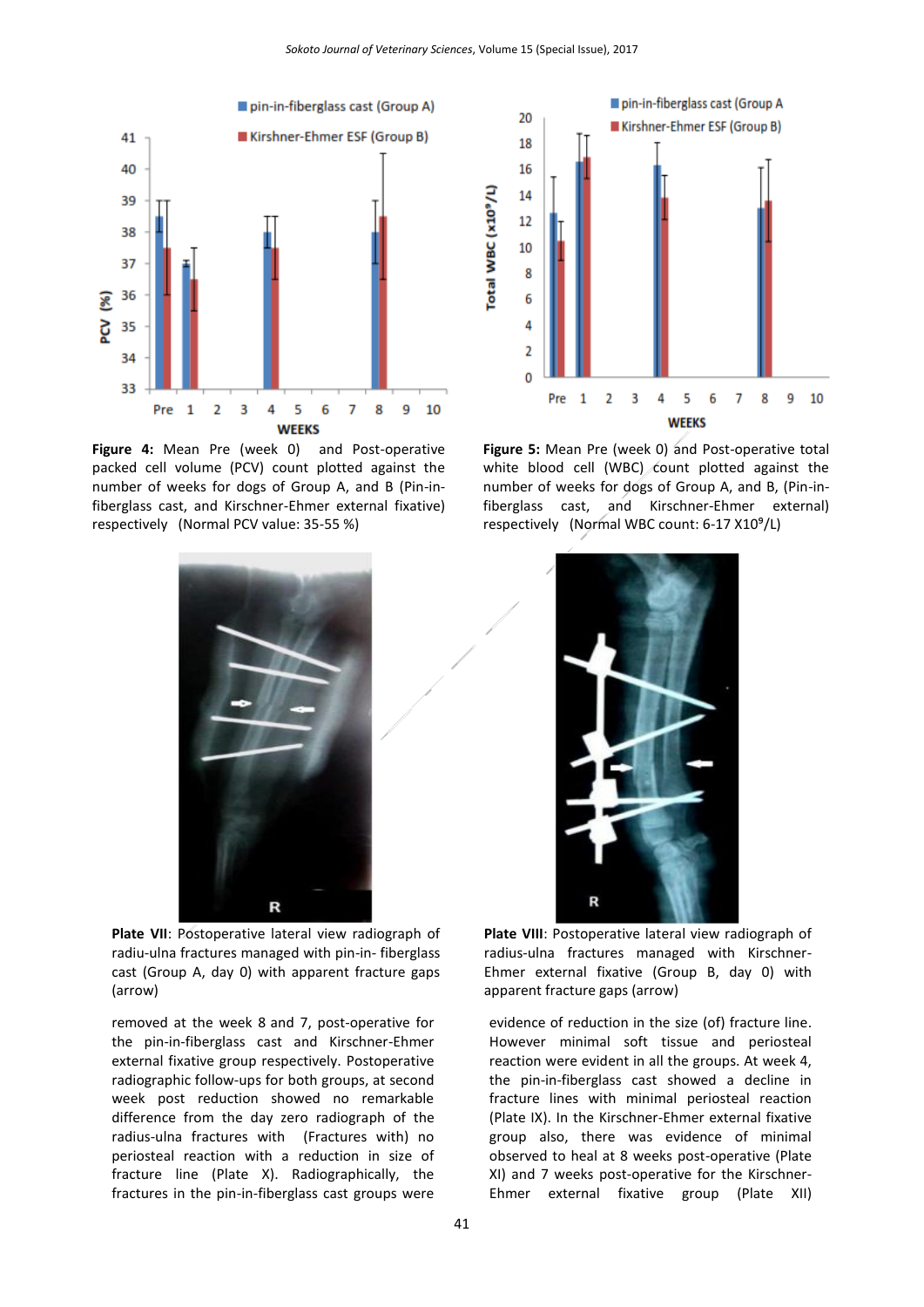

**Figure 4:** Mean Pre (week 0) and Post-operative packed cell volume (PCV) count plotted against the number of weeks for dogs of Group A, and B (Pin-infiberglass cast, and Kirschner-Ehmer external fixative) respectively (Normal PCV value: 35-55 %)



**Figure 5:** Mean Pre (week 0) and Post-operative total white blood cell (WBC) count plotted against the number of weeks for dogs of Group A, and B, (Pin-infiberglass cast, and Kirschner-Ehmer external) respectively (Normal WBC count: 6-17 X10<sup>9</sup>/L)



**Plate VII**: Postoperative lateral view radiograph of radiu-ulna fractures managed with pin-in- fiberglass cast (Group A, day 0) with apparent fracture gaps (arrow)

removed at the week 8 and 7, post-operative for the pin-in-fiberglass cast and Kirschner-Ehmer external fixative group respectively. Postoperative radiographic follow-ups for both groups, at second week post reduction showed no remarkable difference from the day zero radiograph of the radius-ulna fractures with (Fractures with) no periosteal reaction with a reduction in size of fracture line (Plate X). Radiographically, the fractures in the pin-in-fiberglass cast groups were



**Plate VIII**: Postoperative lateral view radiograph of radius-ulna fractures managed with Kirschner-Ehmer external fixative (Group B, day 0) with apparent fracture gaps (arrow)

evidence of reduction in the size (of) fracture line. However minimal soft tissue and periosteal reaction were evident in all the groups. At week 4, the pin-in-fiberglass cast showed a decline in fracture lines with minimal periosteal reaction (Plate IX). In the Kirschner-Ehmer external fixative group also, there was evidence of minimal observed to heal at 8 weeks post-operative (Plate XI) and 7 weeks post-operative for the Kirschner-Ehmer external fixative group (Plate XII)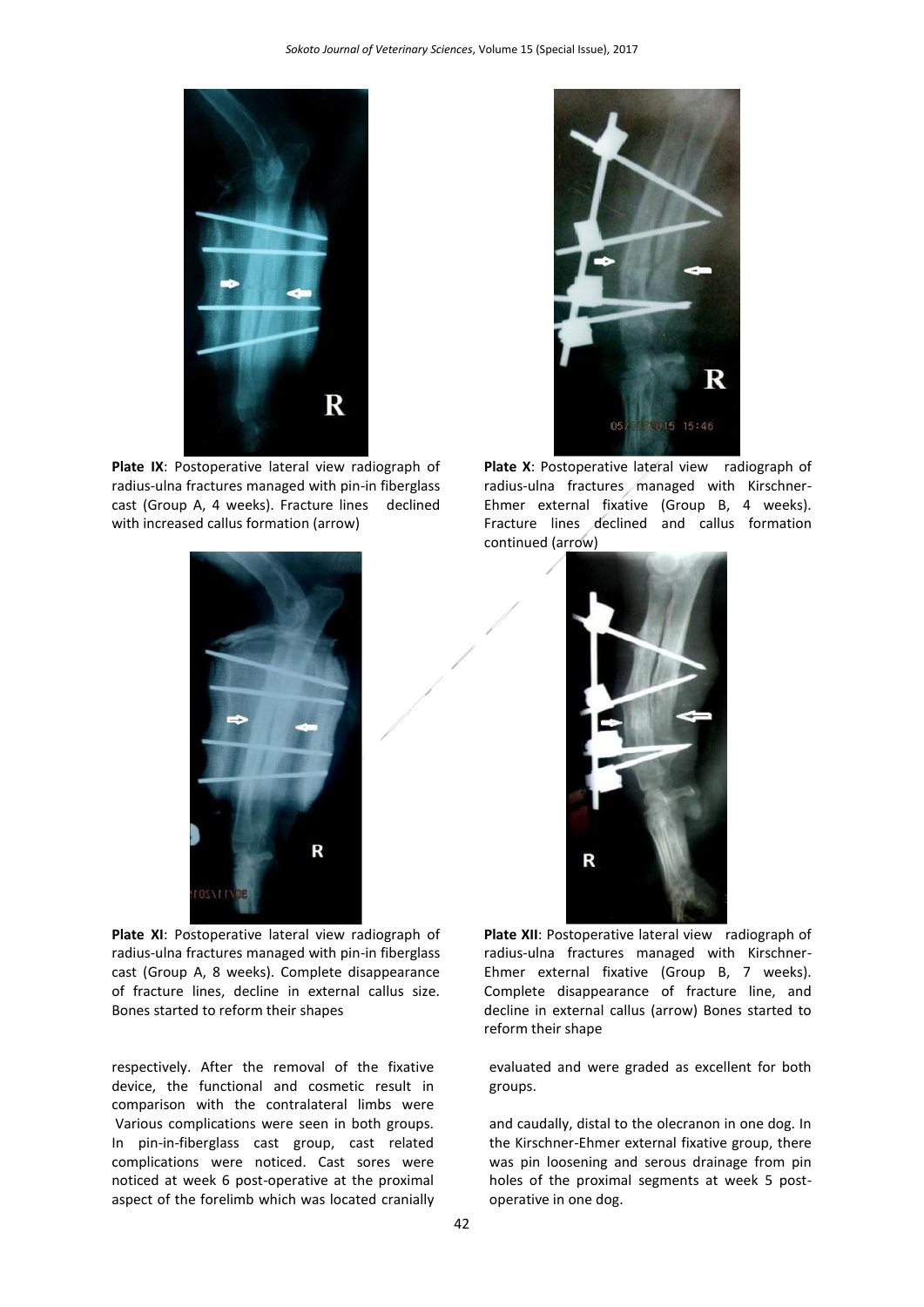

**Plate IX**: Postoperative lateral view radiograph of radius-ulna fractures managed with pin-in fiberglass cast (Group A, 4 weeks). Fracture lines declined with increased callus formation (arrow)



Plate XI: Postoperative lateral view radiograph of radius-ulna fractures managed with pin-in fiberglass cast (Group A, 8 weeks). Complete disappearance of fracture lines, decline in external callus size. Bones started to reform their shapes

respectively. After the removal of the fixative device, the functional and cosmetic result in comparison with the contralateral limbs were Various complications were seen in both groups. In pin-in-fiberglass cast group, cast related complications were noticed. Cast sores were noticed at week 6 post-operative at the proximal aspect of the forelimb which was located cranially



Plate X: Postoperative lateral view radiograph of radius-ulna fractures managed with Kirschner-Ehmer external fixative (Group B, 4 weeks). Fracture lines declined and callus formation continued (arrow)



Plate XII: Postoperative lateral view radiograph of radius-ulna fractures managed with Kirschner-Ehmer external fixative (Group B, 7 weeks). Complete disappearance of fracture line, and decline in external callus (arrow) Bones started to reform their shape

evaluated and were graded as excellent for both groups.

and caudally, distal to the olecranon in one dog. In the Kirschner-Ehmer external fixative group, there was pin loosening and serous drainage from pin holes of the proximal segments at week 5 postoperative in one dog.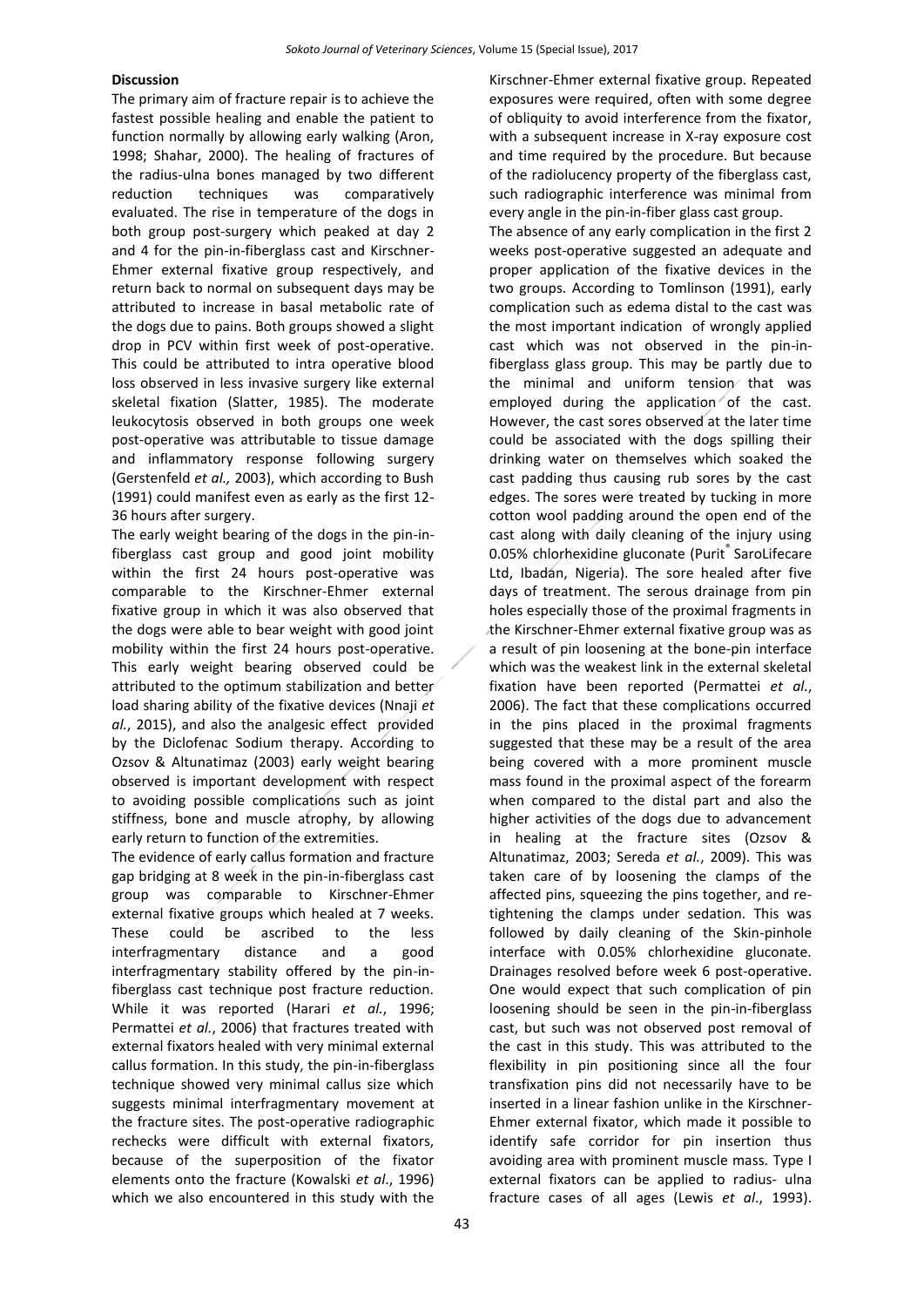#### **Discussion**

The primary aim of fracture repair is to achieve the fastest possible healing and enable the patient to function normally by allowing early walking (Aron, 1998; Shahar, 2000). The healing of fractures of the radius-ulna bones managed by two different reduction techniques was comparatively evaluated. The rise in temperature of the dogs in both group post-surgery which peaked at day 2 and 4 for the pin-in-fiberglass cast and Kirschner-Ehmer external fixative group respectively, and return back to normal on subsequent days may be attributed to increase in basal metabolic rate of the dogs due to pains. Both groups showed a slight drop in PCV within first week of post-operative. This could be attributed to intra operative blood loss observed in less invasive surgery like external skeletal fixation (Slatter, 1985). The moderate leukocytosis observed in both groups one week post-operative was attributable to tissue damage and inflammatory response following surgery (Gerstenfeld *et al.,* 2003), which according to Bush (1991) could manifest even as early as the first 12- 36 hours after surgery.

The early weight bearing of the dogs in the pin-infiberglass cast group and good joint mobility within the first 24 hours post-operative was comparable to the Kirschner-Ehmer external fixative group in which it was also observed that the dogs were able to bear weight with good joint mobility within the first 24 hours post-operative. This early weight bearing observed could be attributed to the optimum stabilization and better load sharing ability of the fixative devices (Nnaji *et al.*, 2015), and also the analgesic effect provided by the Diclofenac Sodium therapy. According to Ozsov & Altunatimaz (2003) early weight bearing observed is important development with respect to avoiding possible complications such as joint stiffness, bone and muscle atrophy, by allowing early return to function of the extremities.

The evidence of early callus formation and fracture gap bridging at 8 week in the pin-in-fiberglass cast group was comparable to Kirschner-Ehmer external fixative groups which healed at 7 weeks. These could be ascribed to the less interfragmentary distance and a good interfragmentary stability offered by the pin-infiberglass cast technique post fracture reduction. While it was reported (Harari *et al.*, 1996; Permattei *et al.*, 2006) that fractures treated with external fixators healed with very minimal external callus formation. In this study, the pin-in-fiberglass technique showed very minimal callus size which suggests minimal interfragmentary movement at the fracture sites. The post-operative radiographic rechecks were difficult with external fixators, because of the superposition of the fixator elements onto the fracture (Kowalski *et al*., 1996) which we also encountered in this study with the

Kirschner-Ehmer external fixative group. Repeated exposures were required, often with some degree of obliquity to avoid interference from the fixator, with a subsequent increase in X-ray exposure cost and time required by the procedure. But because of the radiolucency property of the fiberglass cast, such radiographic interference was minimal from every angle in the pin-in-fiber glass cast group.

The absence of any early complication in the first 2 weeks post-operative suggested an adequate and proper application of the fixative devices in the two groups. According to Tomlinson (1991), early complication such as edema distal to the cast was the most important indication of wrongly applied cast which was not observed in the pin-infiberglass glass group. This may be partly due to the minimal and uniform tension that was employed during the application of the cast. However, the cast sores observed at the later time could be associated with the dogs spilling their drinking water on themselves which soaked the cast padding thus causing rub sores by the cast edges. The sores were treated by tucking in more cotton wool padding around the open end of the cast along with daily cleaning of the injury using 0.05% chlorhexidine gluconate (Purit® SaroLifecare Ltd, Ibadan, Nigeria). The sore healed after five days of treatment. The serous drainage from pin holes especially those of the proximal fragments in the Kirschner-Ehmer external fixative group was as a result of pin loosening at the bone-pin interface which was the weakest link in the external skeletal fixation have been reported (Permattei *et al.*, 2006). The fact that these complications occurred in the pins placed in the proximal fragments suggested that these may be a result of the area being covered with a more prominent muscle mass found in the proximal aspect of the forearm when compared to the distal part and also the higher activities of the dogs due to advancement in healing at the fracture sites (Ozsov & Altunatimaz, 2003; Sereda *et al.*, 2009). This was taken care of by loosening the clamps of the affected pins, squeezing the pins together, and retightening the clamps under sedation. This was followed by daily cleaning of the Skin-pinhole interface with 0.05% chlorhexidine gluconate. Drainages resolved before week 6 post-operative. One would expect that such complication of pin loosening should be seen in the pin-in-fiberglass cast, but such was not observed post removal of the cast in this study. This was attributed to the flexibility in pin positioning since all the four transfixation pins did not necessarily have to be inserted in a linear fashion unlike in the Kirschner-Ehmer external fixator, which made it possible to identify safe corridor for pin insertion thus avoiding area with prominent muscle mass. Type I external fixators can be applied to radius- ulna fracture cases of all ages (Lewis *et al*., 1993).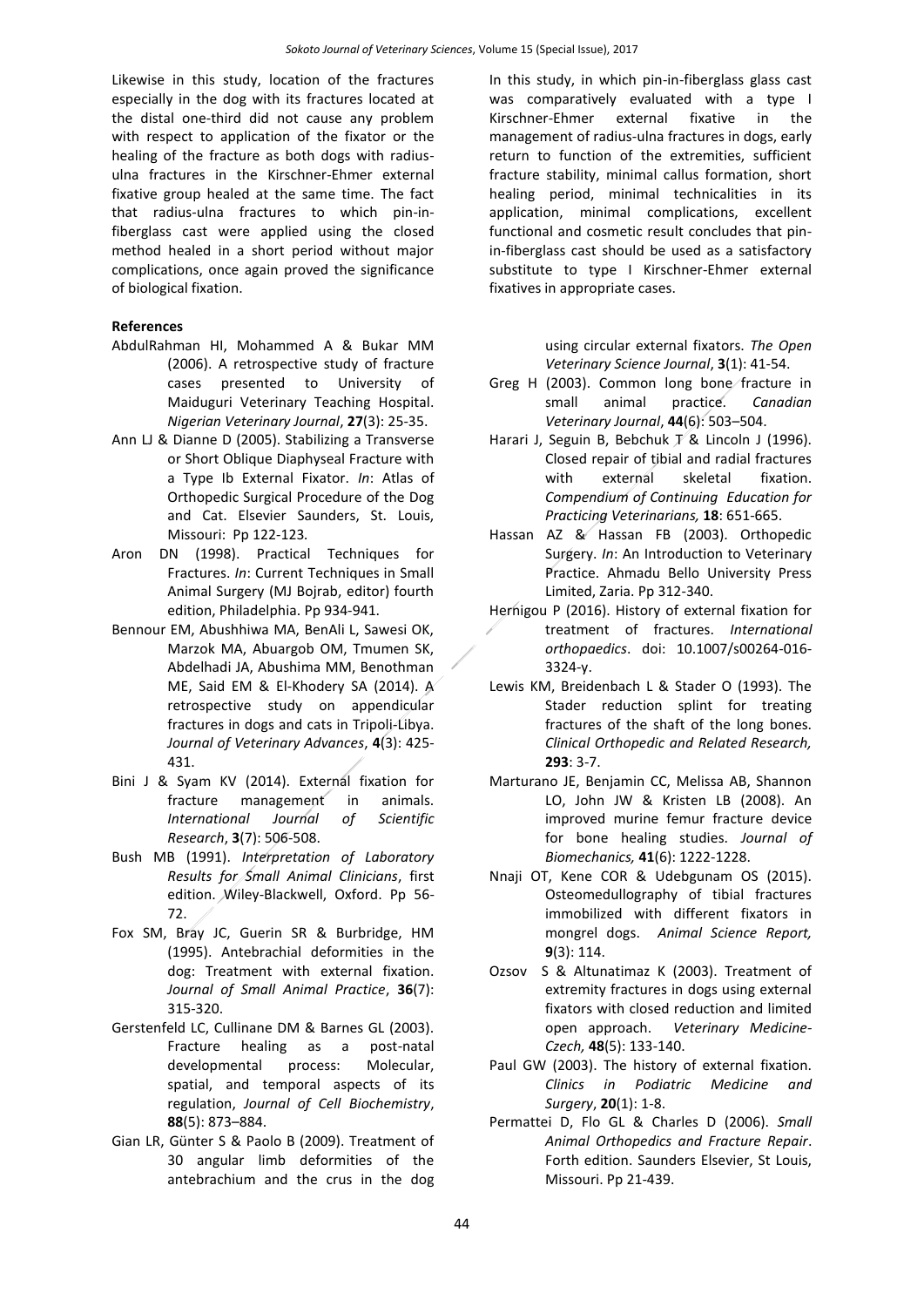Likewise in this study, location of the fractures especially in the dog with its fractures located at the distal one-third did not cause any problem with respect to application of the fixator or the healing of the fracture as both dogs with radiusulna fractures in the Kirschner-Ehmer external fixative group healed at the same time. The fact that radius-ulna fractures to which pin-infiberglass cast were applied using the closed method healed in a short period without major complications, once again proved the significance of biological fixation.

#### **References**

- AbdulRahman HI, Mohammed A & Bukar MM (2006). A retrospective study of fracture cases presented to University of Maiduguri Veterinary Teaching Hospital. *Nigerian Veterinary Journal*, **27**(3): 25-35.
- Ann LJ & Dianne D (2005). Stabilizing a Transverse or Short Oblique Diaphyseal Fracture with a Type Ib External Fixator. *In*: Atlas of Orthopedic Surgical Procedure of the Dog and Cat. Elsevier Saunders, St. Louis, Missouri: Pp 122-123*.*
- Aron DN (1998). Practical Techniques for Fractures. *In*: Current Techniques in Small Animal Surgery (MJ Bojrab, editor) fourth edition, Philadelphia. Pp 934-941.
- Bennour EM, Abushhiwa MA, BenAli L, Sawesi OK, Marzok MA, Abuargob OM, Tmumen SK, Abdelhadi JA, Abushima MM, Benothman ME, Said EM & El-Khodery SA (2014). A retrospective study on appendicular fractures in dogs and cats in Tripoli-Libya. *Journal of Veterinary Advances*, **4**(3): 425- 431.
- Bini J & Syam KV (2014). External fixation for fracture management in animals. *International Journal of Scientific Research*, **3**(7): 506-508.
- Bush MB (1991). *Interpretation of Laboratory Results for Small Animal Clinicians*, first edition. Wiley-Blackwell, Oxford. Pp 56- 72.
- Fox SM, Bray JC, Guerin SR & Burbridge, HM (1995). Antebrachial deformities in the dog: Treatment with external fixation. *Journal of Small Animal Practice*, **36**(7): 315-320.
- Gerstenfeld LC, Cullinane DM & Barnes GL (2003). Fracture healing as a post-natal developmental process: Molecular, spatial, and temporal aspects of its regulation, *Journal of Cell Biochemistry*, **88**(5): 873–884.
- Gian LR, Günter S & Paolo B (2009). Treatment of 30 angular limb deformities of the antebrachium and the crus in the dog

In this study, in which pin-in-fiberglass glass cast was comparatively evaluated with a type I Kirschner-Ehmer external fixative in the management of radius-ulna fractures in dogs, early return to function of the extremities, sufficient fracture stability, minimal callus formation, short healing period, minimal technicalities in its application, minimal complications, excellent functional and cosmetic result concludes that pinin-fiberglass cast should be used as a satisfactory substitute to type I Kirschner-Ehmer external fixatives in appropriate cases.

> using circular external fixators. *The Open Veterinary Science Journal*, **3**(1): 41-54.

- [Greg H](http://www.ncbi.nlm.nih.gov/pubmed/?term=Harasen%20G%5Bauth%5D) (2003). Common long bone fracture in small animal practice. *Canadian Veterinary Journal*, **44**(6): 503–504.
- Harari J. Seguin B. Bebchuk  $\bar{X}$  & Lincoln J (1996). Closed repair of tibial and radial fractures with external skeletal fixation. *Compendium of Continuing Education for Practicing Veterinarians,* **18**: 651-665.
- Hassan AZ & Hassan FB (2003). Orthopedic Surgery. *In*: An Introduction to Veterinary Practice. Ahmadu Bello University Press Limited, Zaria. Pp 312-340.
- Hernigou P (2016). History of external fixation for treatment of fractures. *International orthopaedics*. doi: 10.1007/s00264-016- 3324-y.
- Lewis KM, Breidenbach L & Stader O (1993). The Stader reduction splint for treating fractures of the shaft of the long bones. *Clinical Orthopedic and Related Research,*  **293**: 3-7.
- Marturano JE, Benjamin CC, Melissa AB, Shannon LO, John JW & Kristen LB (2008). An improved murine femur fracture device for bone healing studies. *Journal of Biomechanics,* **41**(6): 1222-1228.
- Nnaji OT, Kene COR & Udebgunam OS (2015). Osteomedullography of tibial fractures immobilized with different fixators in mongrel dogs. *Animal Science Report,*  **9**(3): 114.
- Ozsov S & Altunatimaz K (2003). Treatment of extremity fractures in dogs using external fixators with closed reduction and limited open approach. *Veterinary Medicine-Czech,* **48**(5): 133-140.
- [Paul GW](http://www.ncbi.nlm.nih.gov/pubmed/?term=Paul%20GW%5BAuthor%5D&cauthor=true&cauthor_uid=12613073) (2003). The history of external fixation. *[Clinics in Podiatric Medicine and](http://www.ncbi.nlm.nih.gov/pubmed/12613073)  [Surgery](http://www.ncbi.nlm.nih.gov/pubmed/12613073)*, **20**(1): 1-8.
- Permattei D, Flo GL & Charles D (2006). *Small Animal Orthopedics and Fracture Repair*. Forth edition. Saunders Elsevier, St Louis, Missouri. Pp 21-439.